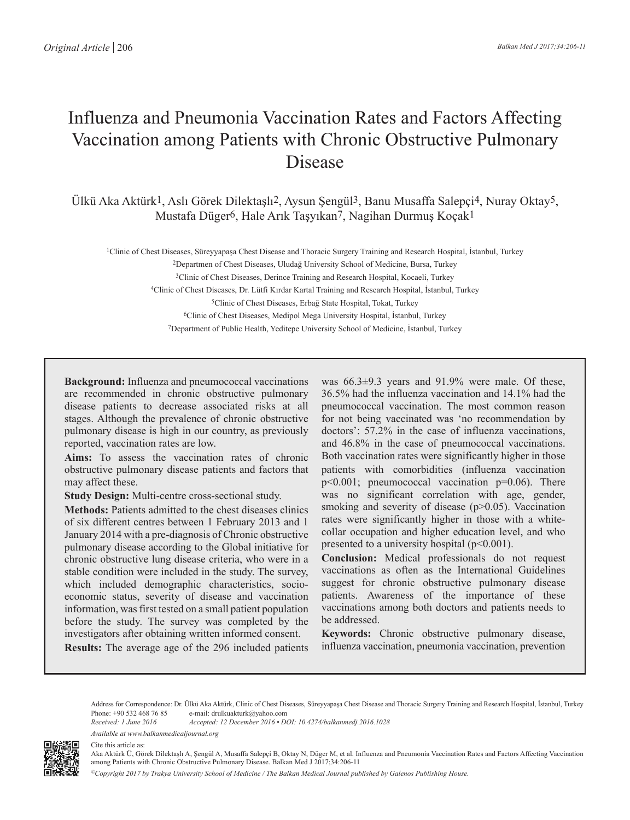# Influenza and Pneumonia Vaccination Rates and Factors Affecting Vaccination among Patients with Chronic Obstructive Pulmonary **Disease**

Ülkü Aka Aktürk1, Aslı Görek Dilektaşlı2, Aysun Şengül3, Banu Musaffa Salepçi4, Nuray Oktay5, Mustafa Düger6, Hale Arık Taşyıkan7, Nagihan Durmuş Koçak1

1Clinic of Chest Diseases, Süreyyapaşa Chest Disease and Thoracic Surgery Training and Research Hospital, İstanbul, Turkey

Departmen of Chest Diseases, Uludağ University School of Medicine, Bursa, Turkey 3Clinic of Chest Diseases, Derince Training and Research Hospital, Kocaeli, Turkey Clinic of Chest Diseases, Dr. Lütfi Kırdar Kartal Training and Research Hospital, İstanbul, Turkey Clinic of Chest Diseases, Erbağ State Hospital, Tokat, Turkey Clinic of Chest Diseases, Medipol Mega University Hospital, İstanbul, Turkey

7Department of Public Health, Yeditepe University School of Medicine, İstanbul, Turkey

**Background:** Influenza and pneumococcal vaccinations are recommended in chronic obstructive pulmonary disease patients to decrease associated risks at all stages. Although the prevalence of chronic obstructive pulmonary disease is high in our country, as previously reported, vaccination rates are low.

**Aims:** To assess the vaccination rates of chronic obstructive pulmonary disease patients and factors that may affect these.

**Study Design:** Multi-centre cross-sectional study.

**Methods:** Patients admitted to the chest diseases clinics of six different centres between 1 February 2013 and 1 January 2014 with a pre-diagnosis of Chronic obstructive pulmonary disease according to the Global initiative for chronic obstructive lung disease criteria, who were in a stable condition were included in the study. The survey, which included demographic characteristics, socioeconomic status, severity of disease and vaccination information, was first tested on a small patient population before the study. The survey was completed by the investigators after obtaining written informed consent.

**Results:** The average age of the 296 included patients

was  $66.3\pm9.3$  years and  $91.9\%$  were male. Of these, 36.5% had the influenza vaccination and 14.1% had the pneumococcal vaccination. The most common reason for not being vaccinated was 'no recommendation by doctors': 57.2% in the case of influenza vaccinations, and 46.8% in the case of pneumococcal vaccinations. Both vaccination rates were significantly higher in those patients with comorbidities (influenza vaccination p<0.001; pneumococcal vaccination p=0.06). There was no significant correlation with age, gender, smoking and severity of disease  $(p>0.05)$ . Vaccination rates were significantly higher in those with a whitecollar occupation and higher education level, and who presented to a university hospital  $(p<0.001)$ .

**Conclusion:** Medical professionals do not request vaccinations as often as the International Guidelines suggest for chronic obstructive pulmonary disease patients. Awareness of the importance of these vaccinations among both doctors and patients needs to be addressed.

**Keywords:** Chronic obstructive pulmonary disease, influenza vaccination, pneumonia vaccination, prevention

Address for Correspondence: Dr. Ülkü Aka Aktürk, Clinic of Chest Diseases, Süreyyapaşa Chest Disease and Thoracic Surgery Training and Research Hospital, İstanbul, Turkey Phone: +90 532 468 76 85 e-mail: drulkuakturk@yahoo.com<br>Received: 1 June 2016 Accepted: 12 December 2016 • DO

*Received: 1 June 2016 Accepted: 12 December 2016 • DOI: 10.4274/balkanmedj.2016.1028 Available at www.balkanmedicaljournal.org*



Cite this article as:

Aka Aktürk Ü, Görek Dilektaşlı A, Şengül A, Musaffa Salepçi B, Oktay N, Düger M, et al. Influenza and Pneumonia Vaccination Rates and Factors Affecting Vaccination among Patients with Chronic Obstructive Pulmonary Disease. Balkan Med J 2017;34:206-11

*©Copyright 2017 by Trakya University School of Medicine / The Balkan Medical Journal published by Galenos Publishing House.*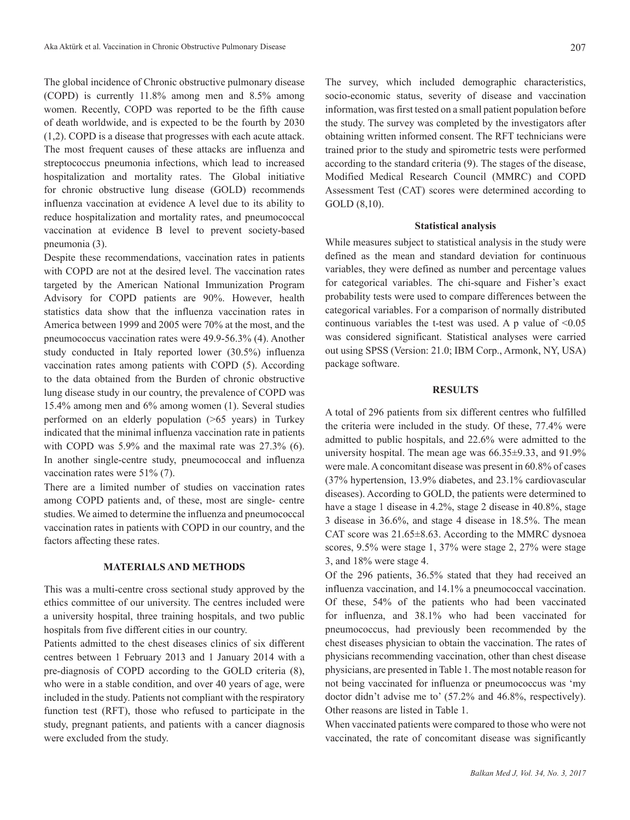The global incidence of Chronic obstructive pulmonary disease (COPD) is currently 11.8% among men and 8.5% among women. Recently, COPD was reported to be the fifth cause of death worldwide, and is expected to be the fourth by 2030 (1,2). COPD is a disease that progresses with each acute attack. The most frequent causes of these attacks are influenza and streptococcus pneumonia infections, which lead to increased hospitalization and mortality rates. The Global initiative for chronic obstructive lung disease (GOLD) recommends influenza vaccination at evidence A level due to its ability to reduce hospitalization and mortality rates, and pneumococcal vaccination at evidence B level to prevent society-based pneumonia (3).

Despite these recommendations, vaccination rates in patients with COPD are not at the desired level. The vaccination rates targeted by the American National Immunization Program Advisory for COPD patients are 90%. However, health statistics data show that the influenza vaccination rates in America between 1999 and 2005 were 70% at the most, and the pneumococcus vaccination rates were 49.9-56.3% (4). Another study conducted in Italy reported lower (30.5%) influenza vaccination rates among patients with COPD (5). According to the data obtained from the Burden of chronic obstructive lung disease study in our country, the prevalence of COPD was 15.4% among men and 6% among women (1). Several studies performed on an elderly population (>65 years) in Turkey indicated that the minimal influenza vaccination rate in patients with COPD was 5.9% and the maximal rate was 27.3% (6). In another single-centre study, pneumococcal and influenza vaccination rates were 51% (7).

There are a limited number of studies on vaccination rates among COPD patients and, of these, most are single- centre studies. We aimed to determine the influenza and pneumococcal vaccination rates in patients with COPD in our country, and the factors affecting these rates.

## **MATERIALS AND METHODS**

This was a multi-centre cross sectional study approved by the ethics committee of our university. The centres included were a university hospital, three training hospitals, and two public hospitals from five different cities in our country.

Patients admitted to the chest diseases clinics of six different centres between 1 February 2013 and 1 January 2014 with a pre-diagnosis of COPD according to the GOLD criteria (8), who were in a stable condition, and over 40 years of age, were included in the study. Patients not compliant with the respiratory function test (RFT), those who refused to participate in the study, pregnant patients, and patients with a cancer diagnosis were excluded from the study.

The survey, which included demographic characteristics, socio-economic status, severity of disease and vaccination information, was first tested on a small patient population before the study. The survey was completed by the investigators after obtaining written informed consent. The RFT technicians were trained prior to the study and spirometric tests were performed according to the standard criteria (9). The stages of the disease, Modified Medical Research Council (MMRC) and COPD Assessment Test (CAT) scores were determined according to GOLD (8,10).

#### **Statistical analysis**

While measures subject to statistical analysis in the study were defined as the mean and standard deviation for continuous variables, they were defined as number and percentage values for categorical variables. The chi-square and Fisher's exact probability tests were used to compare differences between the categorical variables. For a comparison of normally distributed continuous variables the t-test was used. A p value of  $\leq 0.05$ was considered significant. Statistical analyses were carried out using SPSS (Version: 21.0; IBM Corp., Armonk, NY, USA) package software.

# **RESULTS**

A total of 296 patients from six different centres who fulfilled the criteria were included in the study. Of these, 77.4% were admitted to public hospitals, and 22.6% were admitted to the university hospital. The mean age was 66.35±9.33, and 91.9% were male. A concomitant disease was present in 60.8% of cases (37% hypertension, 13.9% diabetes, and 23.1% cardiovascular diseases). According to GOLD, the patients were determined to have a stage 1 disease in 4.2%, stage 2 disease in 40.8%, stage 3 disease in 36.6%, and stage 4 disease in 18.5%. The mean CAT score was 21.65±8.63. According to the MMRC dysnoea scores, 9.5% were stage 1, 37% were stage 2, 27% were stage 3, and 18% were stage 4.

Of the 296 patients, 36.5% stated that they had received an influenza vaccination, and 14.1% a pneumococcal vaccination. Of these, 54% of the patients who had been vaccinated for influenza, and 38.1% who had been vaccinated for pneumococcus, had previously been recommended by the chest diseases physician to obtain the vaccination. The rates of physicians recommending vaccination, other than chest disease physicians, are presented in Table 1. The most notable reason for not being vaccinated for influenza or pneumococcus was 'my doctor didn't advise me to' (57.2% and 46.8%, respectively). Other reasons are listed in Table 1.

When vaccinated patients were compared to those who were not vaccinated, the rate of concomitant disease was significantly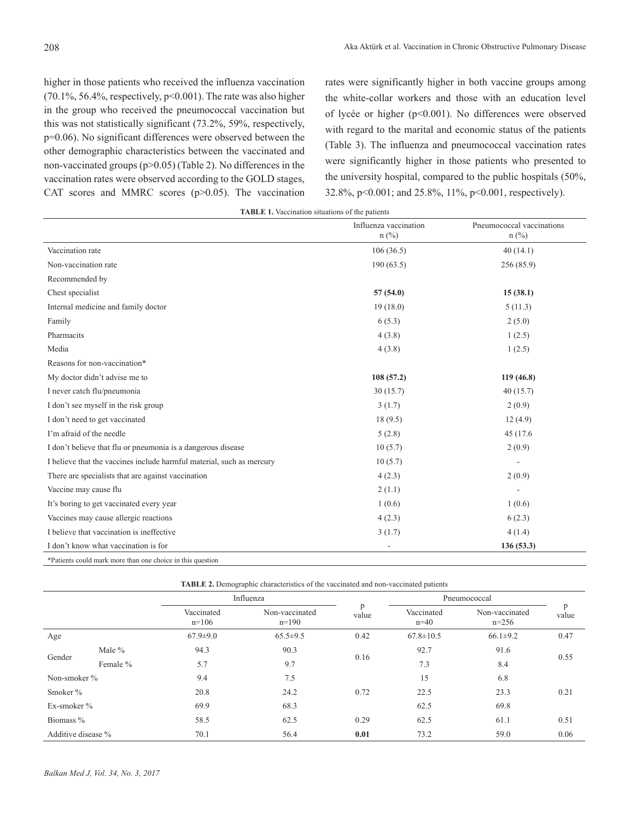higher in those patients who received the influenza vaccination (70.1%, 56.4%, respectively, p<0.001). The rate was also higher in the group who received the pneumococcal vaccination but this was not statistically significant (73.2%, 59%, respectively, p=0.06). No significant differences were observed between the other demographic characteristics between the vaccinated and non-vaccinated groups (p>0.05) (Table 2). No differences in the vaccination rates were observed according to the GOLD stages, CAT scores and MMRC scores (p>0.05). The vaccination rates were significantly higher in both vaccine groups among the white-collar workers and those with an education level of lycée or higher (p<0.001). No differences were observed with regard to the marital and economic status of the patients (Table 3). The influenza and pneumococcal vaccination rates were significantly higher in those patients who presented to the university hospital, compared to the public hospitals (50%, 32.8%, p<0.001; and 25.8%, 11%, p<0.001, respectively).

| <b>TABLE 1.</b> Vaccination situations of the patients |  |  |  |
|--------------------------------------------------------|--|--|--|
|--------------------------------------------------------|--|--|--|

|                                                                       | Influenza vaccination<br>$n$ (%) | Pneumococcal vaccinations<br>$n$ (%) |
|-----------------------------------------------------------------------|----------------------------------|--------------------------------------|
| Vaccination rate                                                      | 106(36.5)                        | 40(14.1)                             |
| Non-vaccination rate                                                  | 190(63.5)                        | 256(85.9)                            |
| Recommended by                                                        |                                  |                                      |
| Chest specialist                                                      | 57(54.0)                         | 15(38.1)                             |
| Internal medicine and family doctor                                   | 19(18.0)                         | 5(11.3)                              |
| Family                                                                | 6(5.3)                           | 2(5.0)                               |
| Pharmacits                                                            | 4(3.8)                           | 1(2.5)                               |
| Media                                                                 | 4(3.8)                           | 1(2.5)                               |
| Reasons for non-vaccination*                                          |                                  |                                      |
| My doctor didn't advise me to                                         | 108(57.2)                        | 119(46.8)                            |
| I never catch flu/pneumonia                                           | 30(15.7)                         | 40(15.7)                             |
| I don't see myself in the risk group                                  | 3(1.7)                           | 2(0.9)                               |
| I don't need to get vaccinated                                        | 18(9.5)                          | 12(4.9)                              |
| I'm afraid of the needle                                              | 5(2.8)                           | 45 (17.6)                            |
| I don't believe that flu or pneumonia is a dangerous disease          | 10(5.7)                          | 2(0.9)                               |
| I believe that the vaccines include harmful material, such as mercury | 10(5.7)                          |                                      |
| There are specialists that are against vaccination                    | 4(2.3)                           | 2(0.9)                               |
| Vaccine may cause flu                                                 | 2(1.1)                           |                                      |
| It's boring to get vaccinated every year                              | 1(0.6)                           | 1(0.6)                               |
| Vaccines may cause allergic reactions                                 | 4(2.3)                           | 6(2.3)                               |
| I believe that vaccination is ineffective                             | 3(1.7)                           | 4(1.4)                               |
| I don't know what vaccination is for                                  |                                  | 136(53.3)                            |
| *Patients could mark more than one choice in this question            |                                  |                                      |

\*Patients could mark more than one choice in this question

| <b>TABLE 2.</b> Demographic characteristics of the vaccinated and non-vaccinated patients |          |                       |                           |            |                      |                           |            |
|-------------------------------------------------------------------------------------------|----------|-----------------------|---------------------------|------------|----------------------|---------------------------|------------|
|                                                                                           |          | Influenza             |                           |            | Pneumococcal         |                           |            |
|                                                                                           |          | Vaccinated<br>$n=106$ | Non-vaccinated<br>$n=190$ | p<br>value | Vaccinated<br>$n=40$ | Non-vaccinated<br>$n=256$ | p<br>value |
| Age                                                                                       |          | $67.9 \pm 9.0$        | $65.5 \pm 9.5$            | 0.42       | $67.8 \pm 10.5$      | $66.1 \pm 9.2$            | 0.47       |
| Gender                                                                                    | Male $%$ | 94.3                  | 90.3                      |            | 92.7                 | 91.6                      | 0.55       |
|                                                                                           | Female % | 5.7                   | 9.7                       | 0.16       | 7.3                  | 8.4                       |            |
| Non-smoker %                                                                              |          | 9.4                   | 7.5                       |            | 15                   | 6.8                       |            |
| Smoker $\%$                                                                               |          | 20.8                  | 24.2                      | 0.72       | 22.5                 | 23.3                      | 0.21       |
| Ex-smoker %                                                                               |          | 69.9                  | 68.3                      |            | 62.5                 | 69.8                      |            |
| Biomass %                                                                                 |          | 58.5                  | 62.5                      | 0.29       | 62.5                 | 61.1                      | 0.51       |
| Additive disease %                                                                        |          | 70.1                  | 56.4                      | 0.01       | 73.2                 | 59.0                      | 0.06       |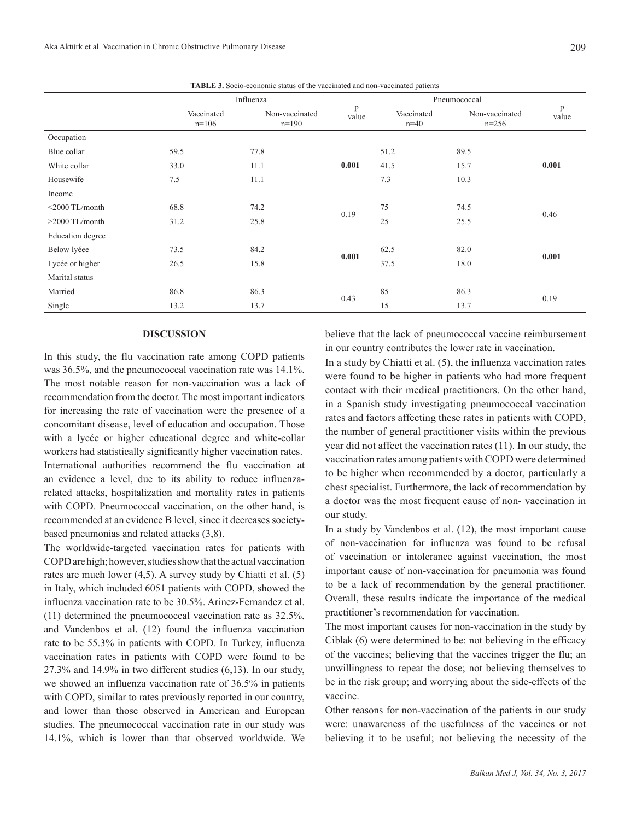**TABLE 3.** Socio-economic status of the vaccinated and non-vaccinated patients

|                   | Influenza             |                           |            | Pneumococcal         |                           |            |
|-------------------|-----------------------|---------------------------|------------|----------------------|---------------------------|------------|
|                   | Vaccinated<br>$n=106$ | Non-vaccinated<br>$n=190$ | p<br>value | Vaccinated<br>$n=40$ | Non-vaccinated<br>$n=256$ | p<br>value |
| Occupation        |                       |                           |            |                      |                           |            |
| Blue collar       | 59.5                  | 77.8                      |            | 51.2                 | 89.5                      | 0.001      |
| White collar      | 33.0                  | 11.1                      | 0.001      | 41.5                 | 15.7                      |            |
| Housewife         | 7.5                   | 11.1                      |            | 7.3                  | 10.3                      |            |
| Income            |                       |                           |            |                      |                           |            |
| $<$ 2000 TL/month | 68.8                  | 74.2                      | 0.19       | 75                   | 74.5                      | 0.46       |
| $>2000$ TL/month  | 31.2                  | 25.8                      |            | 25                   | 25.5                      |            |
| Education degree  |                       |                           |            |                      |                           |            |
| Below lyéee       | 73.5                  | 84.2                      | 0.001      | 62.5                 | 82.0                      | 0.001      |
| Lycée or higher   | 26.5                  | 15.8                      |            | 37.5                 | 18.0                      |            |
| Marital status    |                       |                           |            |                      |                           |            |
| Married           | 86.8                  | 86.3                      |            | 85                   | 86.3                      | 0.19       |
| Single            | 13.2                  | 13.7                      | 0.43       | 15                   | 13.7                      |            |

# **DISCUSSION**

In this study, the flu vaccination rate among COPD patients was 36.5%, and the pneumococcal vaccination rate was 14.1%. The most notable reason for non-vaccination was a lack of recommendation from the doctor. The most important indicators for increasing the rate of vaccination were the presence of a concomitant disease, level of education and occupation. Those with a lycée or higher educational degree and white-collar workers had statistically significantly higher vaccination rates. International authorities recommend the flu vaccination at an evidence a level, due to its ability to reduce influenzarelated attacks, hospitalization and mortality rates in patients with COPD. Pneumococcal vaccination, on the other hand, is recommended at an evidence B level, since it decreases societybased pneumonias and related attacks (3,8).

The worldwide-targeted vaccination rates for patients with COPD are high; however, studies show that the actual vaccination rates are much lower (4,5). A survey study by Chiatti et al. (5) in Italy, which included 6051 patients with COPD, showed the influenza vaccination rate to be 30.5%. Arinez-Fernandez et al. (11) determined the pneumococcal vaccination rate as 32.5%, and Vandenbos et al. (12) found the influenza vaccination rate to be 55.3% in patients with COPD. In Turkey, influenza vaccination rates in patients with COPD were found to be 27.3% and 14.9% in two different studies (6,13). In our study, we showed an influenza vaccination rate of 36.5% in patients with COPD, similar to rates previously reported in our country, and lower than those observed in American and European studies. The pneumococcal vaccination rate in our study was 14.1%, which is lower than that observed worldwide. We believe that the lack of pneumococcal vaccine reimbursement in our country contributes the lower rate in vaccination.

In a study by Chiatti et al. (5), the influenza vaccination rates were found to be higher in patients who had more frequent contact with their medical practitioners. On the other hand, in a Spanish study investigating pneumococcal vaccination rates and factors affecting these rates in patients with COPD, the number of general practitioner visits within the previous year did not affect the vaccination rates (11). In our study, the vaccination rates among patients with COPD were determined to be higher when recommended by a doctor, particularly a chest specialist. Furthermore, the lack of recommendation by a doctor was the most frequent cause of non- vaccination in our study.

In a study by Vandenbos et al. (12), the most important cause of non-vaccination for influenza was found to be refusal of vaccination or intolerance against vaccination, the most important cause of non-vaccination for pneumonia was found to be a lack of recommendation by the general practitioner. Overall, these results indicate the importance of the medical practitioner's recommendation for vaccination.

The most important causes for non-vaccination in the study by Ciblak (6) were determined to be: not believing in the efficacy of the vaccines; believing that the vaccines trigger the flu; an unwillingness to repeat the dose; not believing themselves to be in the risk group; and worrying about the side-effects of the vaccine.

Other reasons for non-vaccination of the patients in our study were: unawareness of the usefulness of the vaccines or not believing it to be useful; not believing the necessity of the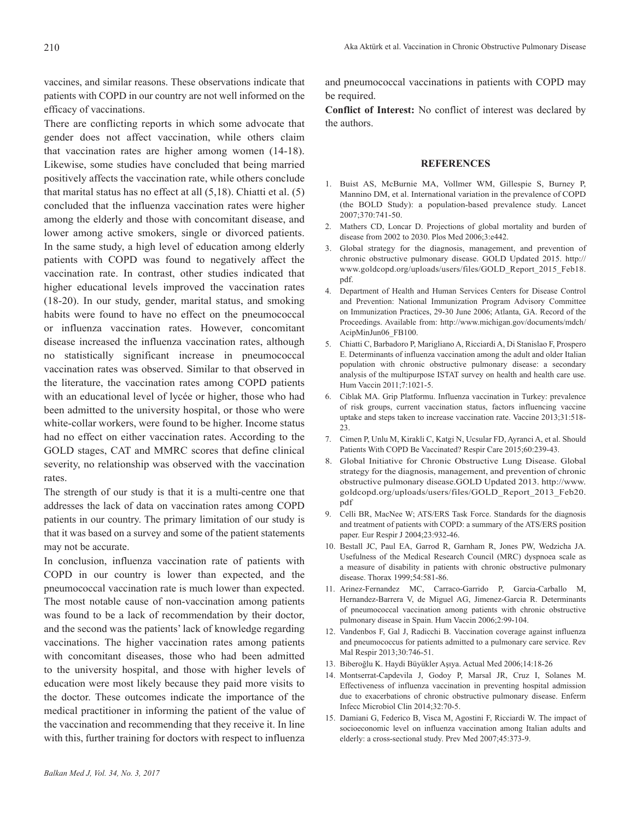vaccines, and similar reasons. These observations indicate that patients with COPD in our country are not well informed on the efficacy of vaccinations.

There are conflicting reports in which some advocate that gender does not affect vaccination, while others claim that vaccination rates are higher among women (14-18). Likewise, some studies have concluded that being married positively affects the vaccination rate, while others conclude that marital status has no effect at all (5,18). Chiatti et al. (5) concluded that the influenza vaccination rates were higher among the elderly and those with concomitant disease, and lower among active smokers, single or divorced patients. In the same study, a high level of education among elderly patients with COPD was found to negatively affect the vaccination rate. In contrast, other studies indicated that higher educational levels improved the vaccination rates (18-20). In our study, gender, marital status, and smoking habits were found to have no effect on the pneumococcal or influenza vaccination rates. However, concomitant disease increased the influenza vaccination rates, although no statistically significant increase in pneumococcal vaccination rates was observed. Similar to that observed in the literature, the vaccination rates among COPD patients with an educational level of lycée or higher, those who had been admitted to the university hospital, or those who were white-collar workers, were found to be higher. Income status had no effect on either vaccination rates. According to the GOLD stages, CAT and MMRC scores that define clinical severity, no relationship was observed with the vaccination rates.

The strength of our study is that it is a multi-centre one that addresses the lack of data on vaccination rates among COPD patients in our country. The primary limitation of our study is that it was based on a survey and some of the patient statements may not be accurate.

In conclusion, influenza vaccination rate of patients with COPD in our country is lower than expected, and the pneumococcal vaccination rate is much lower than expected. The most notable cause of non-vaccination among patients was found to be a lack of recommendation by their doctor, and the second was the patients' lack of knowledge regarding vaccinations. The higher vaccination rates among patients with concomitant diseases, those who had been admitted to the university hospital, and those with higher levels of education were most likely because they paid more visits to the doctor. These outcomes indicate the importance of the medical practitioner in informing the patient of the value of the vaccination and recommending that they receive it. In line with this, further training for doctors with respect to influenza

and pneumococcal vaccinations in patients with COPD may be required.

**Conflict of Interest:** No conflict of interest was declared by the authors.

### **REFERENCES**

- 1. Buist AS, McBurnie MA, Vollmer WM, Gillespie S, Burney P, Mannino DM, et al. International variation in the prevalence of COPD (the BOLD Study): a population-based prevalence study. Lancet 2007;370:741-50.
- 2. Mathers CD, Loncar D. Projections of global mortality and burden of disease from 2002 to 2030. Plos Med 2006;3:e442.
- 3. Global strategy for the diagnosis, management, and prevention of chronic obstructive pulmonary disease. GOLD Updated 2015. http:// www.goldcopd.org/uploads/users/files/GOLD\_Report\_2015\_Feb18. pdf.
- 4. Department of Health and Human Services Centers for Disease Control and Prevention: National Immunization Program Advisory Committee on Immunization Practices, 29-30 June 2006; Atlanta, GA. Record of the Proceedings. Available from: http://www.michigan.gov/documents/mdch/ AcipMinJun06\_FB100.
- 5. Chiatti C, Barbadoro P, Marigliano A, Ricciardi A, Di Stanislao F, Prospero E. Determinants of influenza vaccination among the adult and older Italian population with chronic obstructive pulmonary disease: a secondary analysis of the multipurpose ISTAT survey on health and health care use. Hum Vaccin 2011;7:1021-5.
- 6. Ciblak MA. Grip Platformu. Influenza vaccination in Turkey: prevalence of risk groups, current vaccination status, factors influencing vaccine uptake and steps taken to increase vaccination rate. Vaccine 2013;31:518-  $23.$
- 7. Cimen P, Unlu M, Kirakli C, Katgi N, Ucsular FD, Ayranci A, et al. Should Patients With COPD Be Vaccinated? Respir Care 2015;60:239-43.
- 8. Global Initiative for Chronic Obstructive Lung Disease. Global strategy for the diagnosis, management, and prevention of chronic obstructive pulmonary disease.GOLD Updated 2013. http://www. goldcopd.org/uploads/users/files/GOLD\_Report\_2013\_Feb20. pdf
- 9. Celli BR, MacNee W; ATS/ERS Task Force. Standards for the diagnosis and treatment of patients with COPD: a summary of the ATS/ERS position paper. Eur Respir J 2004;23:932-46.
- 10. Bestall JC, Paul EA, Garrod R, Garnham R, Jones PW, Wedzicha JA. Usefulness of the Medical Research Council (MRC) dyspnoea scale as a measure of disability in patients with chronic obstructive pulmonary disease. Thorax 1999;54:581-86.
- 11. Arinez-Fernandez MC, Carraco-Garrido P, Garcia-Carballo M, Hernandez-Barrera V, de Miguel AG, Jimenez-Garcia R. Determinants of pneumococcal vaccination among patients with chronic obstructive pulmonary disease in Spain. Hum Vaccin 2006;2:99-104.
- 12. Vandenbos F, Gal J, Radicchi B. Vaccination coverage against influenza and pneumococcus for patients admitted to a pulmonary care service. Rev Mal Respir 2013;30:746-51.
- 13. Biberoğlu K. Haydi Büyükler Aşıya. Actual Med 2006;14:18-26
- 14. Montserrat-Capdevila J, Godoy P, Marsal JR, Cruz I, Solanes M. Effectiveness of influenza vaccination in preventing hospital admission due to exacerbations of chronic obstructive pulmonary disease. Enferm Infecc Microbiol Clin 2014;32:70-5.
- 15. Damiani G, Federico B, Visca M, Agostini F, Ricciardi W. The impact of socioeconomic level on influenza vaccination among Italian adults and elderly: a cross-sectional study. Prev Med 2007;45:373-9.